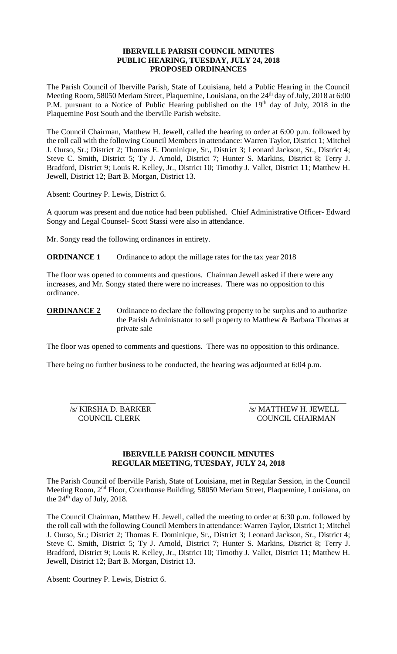### **IBERVILLE PARISH COUNCIL MINUTES PUBLIC HEARING, TUESDAY, JULY 24, 2018 PROPOSED ORDINANCES**

The Parish Council of Iberville Parish, State of Louisiana, held a Public Hearing in the Council Meeting Room, 58050 Meriam Street, Plaquemine, Louisiana, on the 24<sup>th</sup> day of July, 2018 at 6:00 P.M. pursuant to a Notice of Public Hearing published on the  $19<sup>th</sup>$  day of July, 2018 in the Plaquemine Post South and the Iberville Parish website.

The Council Chairman, Matthew H. Jewell, called the hearing to order at 6:00 p.m. followed by the roll call with the following Council Members in attendance: Warren Taylor, District 1; Mitchel J. Ourso, Sr.; District 2; Thomas E. Dominique, Sr., District 3; Leonard Jackson, Sr., District 4; Steve C. Smith, District 5; Ty J. Arnold, District 7; Hunter S. Markins, District 8; Terry J. Bradford, District 9; Louis R. Kelley, Jr., District 10; Timothy J. Vallet, District 11; Matthew H. Jewell, District 12; Bart B. Morgan, District 13.

Absent: Courtney P. Lewis, District 6.

A quorum was present and due notice had been published. Chief Administrative Officer- Edward Songy and Legal Counsel- Scott Stassi were also in attendance.

Mr. Songy read the following ordinances in entirety.

**ORDINANCE 1** Ordinance to adopt the millage rates for the tax year 2018

The floor was opened to comments and questions. Chairman Jewell asked if there were any increases, and Mr. Songy stated there were no increases. There was no opposition to this ordinance.

**ORDINANCE 2** Ordinance to declare the following property to be surplus and to authorize the Parish Administrator to sell property to Matthew & Barbara Thomas at private sale

The floor was opened to comments and questions. There was no opposition to this ordinance.

There being no further business to be conducted, the hearing was adjourned at 6:04 p.m.

 $\overline{\phantom{a}}$  , and the contract of the contract of the contract of the contract of the contract of the contract of the contract of the contract of the contract of the contract of the contract of the contract of the contrac /s/ KIRSHA D. BARKER /s/ MATTHEW H. JEWELL COUNCIL CLERK COUNCIL CHAIRMAN

### **IBERVILLE PARISH COUNCIL MINUTES REGULAR MEETING, TUESDAY, JULY 24, 2018**

The Parish Council of Iberville Parish, State of Louisiana, met in Regular Session, in the Council Meeting Room, 2nd Floor, Courthouse Building, 58050 Meriam Street, Plaquemine, Louisiana, on the  $24<sup>th</sup>$  day of July, 2018.

The Council Chairman, Matthew H. Jewell, called the meeting to order at 6:30 p.m. followed by the roll call with the following Council Members in attendance: Warren Taylor, District 1; Mitchel J. Ourso, Sr.; District 2; Thomas E. Dominique, Sr., District 3; Leonard Jackson, Sr., District 4; Steve C. Smith, District 5; Ty J. Arnold, District 7; Hunter S. Markins, District 8; Terry J. Bradford, District 9; Louis R. Kelley, Jr., District 10; Timothy J. Vallet, District 11; Matthew H. Jewell, District 12; Bart B. Morgan, District 13.

Absent: Courtney P. Lewis, District 6.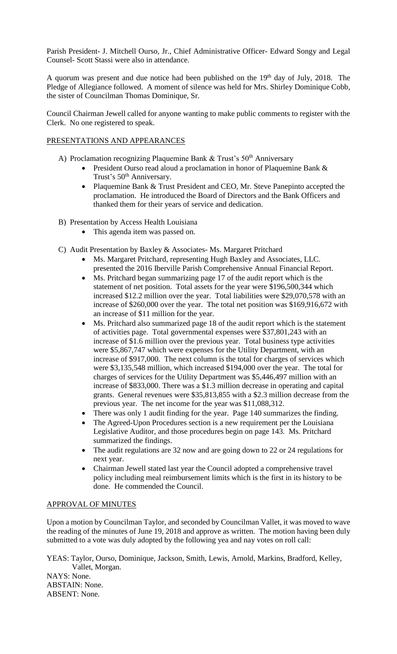Parish President- J. Mitchell Ourso, Jr., Chief Administrative Officer- Edward Songy and Legal Counsel- Scott Stassi were also in attendance.

A quorum was present and due notice had been published on the  $19<sup>th</sup>$  day of July, 2018. The Pledge of Allegiance followed. A moment of silence was held for Mrs. Shirley Dominique Cobb, the sister of Councilman Thomas Dominique, Sr.

Council Chairman Jewell called for anyone wanting to make public comments to register with the Clerk. No one registered to speak.

### PRESENTATIONS AND APPEARANCES

- A) Proclamation recognizing Plaquemine Bank  $&$  Trust's 50<sup>th</sup> Anniversary
	- President Ourso read aloud a proclamation in honor of Plaquemine Bank & Trust's 50<sup>th</sup> Anniversary.
	- Plaquemine Bank & Trust President and CEO, Mr. Steve Panepinto accepted the proclamation. He introduced the Board of Directors and the Bank Officers and thanked them for their years of service and dedication.
- B) Presentation by Access Health Louisiana
	- This agenda item was passed on.
- C) Audit Presentation by Baxley & Associates- Ms. Margaret Pritchard
	- Ms. Margaret Pritchard, representing Hugh Baxley and Associates, LLC. presented the 2016 Iberville Parish Comprehensive Annual Financial Report.
	- Ms. Pritchard began summarizing page 17 of the audit report which is the statement of net position. Total assets for the year were \$196,500,344 which increased \$12.2 million over the year. Total liabilities were \$29,070,578 with an increase of \$260,000 over the year. The total net position was \$169,916,672 with an increase of \$11 million for the year.
	- Ms. Pritchard also summarized page 18 of the audit report which is the statement of activities page. Total governmental expenses were \$37,801,243 with an increase of \$1.6 million over the previous year. Total business type activities were \$5,867,747 which were expenses for the Utility Department, with an increase of \$917,000. The next column is the total for charges of services which were \$3,135,548 million, which increased \$194,000 over the year. The total for charges of services for the Utility Department was \$5,446,497 million with an increase of \$833,000. There was a \$1.3 million decrease in operating and capital grants. General revenues were \$35,813,855 with a \$2.3 million decrease from the previous year. The net income for the year was \$11,088,312.
	- There was only 1 audit finding for the year. Page 140 summarizes the finding.
	- The Agreed-Upon Procedures section is a new requirement per the Louisiana Legislative Auditor, and those procedures begin on page 143. Ms. Pritchard summarized the findings.
	- The audit regulations are 32 now and are going down to 22 or 24 regulations for next year.
	- Chairman Jewell stated last year the Council adopted a comprehensive travel policy including meal reimbursement limits which is the first in its history to be done. He commended the Council.

### APPROVAL OF MINUTES

Upon a motion by Councilman Taylor, and seconded by Councilman Vallet, it was moved to wave the reading of the minutes of June 19, 2018 and approve as written. The motion having been duly submitted to a vote was duly adopted by the following yea and nay votes on roll call:

YEAS: Taylor, Ourso, Dominique, Jackson, Smith, Lewis, Arnold, Markins, Bradford, Kelley, Vallet, Morgan. NAYS: None. ABSTAIN: None. ABSENT: None.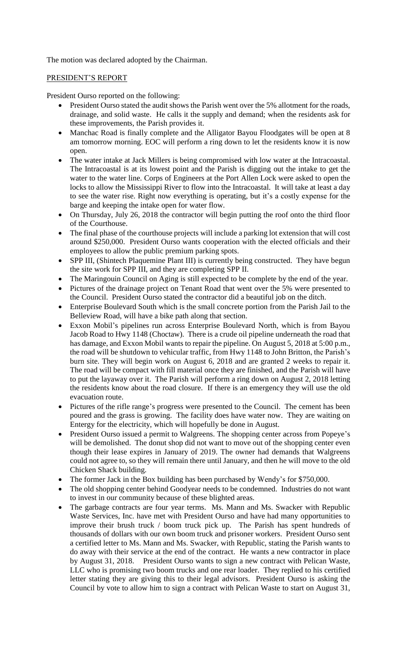The motion was declared adopted by the Chairman.

# PRESIDENT'S REPORT

President Ourso reported on the following:

- President Ourso stated the audit shows the Parish went over the 5% allotment for the roads, drainage, and solid waste. He calls it the supply and demand; when the residents ask for these improvements, the Parish provides it.
- Manchac Road is finally complete and the Alligator Bayou Floodgates will be open at 8 am tomorrow morning. EOC will perform a ring down to let the residents know it is now open.
- The water intake at Jack Millers is being compromised with low water at the Intracoastal. The Intracoastal is at its lowest point and the Parish is digging out the intake to get the water to the water line. Corps of Engineers at the Port Allen Lock were asked to open the locks to allow the Mississippi River to flow into the Intracoastal. It will take at least a day to see the water rise. Right now everything is operating, but it's a costly expense for the barge and keeping the intake open for water flow.
- On Thursday, July 26, 2018 the contractor will begin putting the roof onto the third floor of the Courthouse.
- The final phase of the courthouse projects will include a parking lot extension that will cost around \$250,000. President Ourso wants cooperation with the elected officials and their employees to allow the public premium parking spots.
- SPP III, (Shintech Plaquemine Plant III) is currently being constructed. They have begun the site work for SPP III, and they are completing SPP II.
- The Maringouin Council on Aging is still expected to be complete by the end of the year.
- Pictures of the drainage project on Tenant Road that went over the 5% were presented to the Council. President Ourso stated the contractor did a beautiful job on the ditch.
- Enterprise Boulevard South which is the small concrete portion from the Parish Jail to the Belleview Road, will have a bike path along that section.
- Exxon Mobil's pipelines run across Enterprise Boulevard North, which is from Bayou Jacob Road to Hwy 1148 (Choctaw). There is a crude oil pipeline underneath the road that has damage, and Exxon Mobil wants to repair the pipeline. On August 5, 2018 at 5:00 p.m., the road will be shutdown to vehicular traffic, from Hwy 1148 to John Britton, the Parish's burn site. They will begin work on August 6, 2018 and are granted 2 weeks to repair it. The road will be compact with fill material once they are finished, and the Parish will have to put the layaway over it. The Parish will perform a ring down on August 2, 2018 letting the residents know about the road closure. If there is an emergency they will use the old evacuation route.
- Pictures of the rifle range's progress were presented to the Council. The cement has been poured and the grass is growing. The facility does have water now. They are waiting on Entergy for the electricity, which will hopefully be done in August.
- President Ourso issued a permit to Walgreens. The shopping center across from Popeye's will be demolished. The donut shop did not want to move out of the shopping center even though their lease expires in January of 2019. The owner had demands that Walgreens could not agree to, so they will remain there until January, and then he will move to the old Chicken Shack building.
- The former Jack in the Box building has been purchased by Wendy's for \$750,000.
- The old shopping center behind Goodyear needs to be condemned. Industries do not want to invest in our community because of these blighted areas.
- The garbage contracts are four year terms. Ms. Mann and Ms. Swacker with Republic Waste Services, Inc. have met with President Ourso and have had many opportunities to improve their brush truck / boom truck pick up. The Parish has spent hundreds of thousands of dollars with our own boom truck and prisoner workers. President Ourso sent a certified letter to Ms. Mann and Ms. Swacker, with Republic, stating the Parish wants to do away with their service at the end of the contract. He wants a new contractor in place by August 31, 2018. President Ourso wants to sign a new contract with Pelican Waste, LLC who is promising two boom trucks and one rear loader. They replied to his certified letter stating they are giving this to their legal advisors. President Ourso is asking the Council by vote to allow him to sign a contract with Pelican Waste to start on August 31,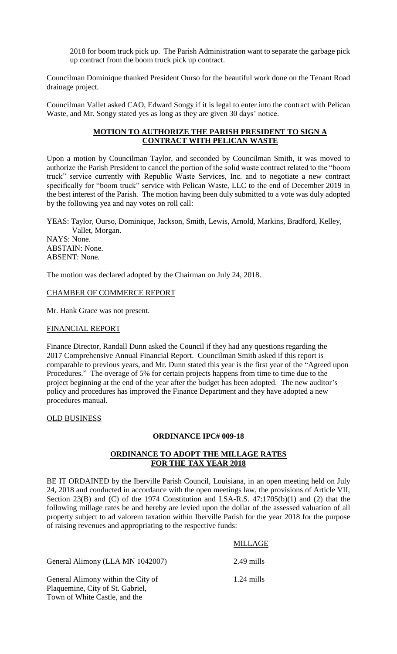2018 for boom truck pick up. The Parish Administration want to separate the garbage pick up contract from the boom truck pick up contract.

Councilman Dominique thanked President Ourso for the beautiful work done on the Tenant Road drainage project.

Councilman Vallet asked CAO, Edward Songy if it is legal to enter into the contract with Pelican Waste, and Mr. Songy stated yes as long as they are given 30 days' notice.

# **MOTION TO AUTHORIZE THE PARISH PRESIDENT TO SIGN A CONTRACT WITH PELICAN WASTE**

Upon a motion by Councilman Taylor, and seconded by Councilman Smith, it was moved to authorize the Parish President to cancel the portion of the solid waste contract related to the "boom truck" service currently with Republic Waste Services, Inc. and to negotiate a new contract specifically for "boom truck" service with Pelican Waste, LLC to the end of December 2019 in the best interest of the Parish. The motion having been duly submitted to a vote was duly adopted by the following yea and nay votes on roll call:

YEAS: Taylor, Ourso, Dominique, Jackson, Smith, Lewis, Arnold, Markins, Bradford, Kelley, Vallet, Morgan.

NAYS: None. ABSTAIN: None. ABSENT: None.

The motion was declared adopted by the Chairman on July 24, 2018.

#### CHAMBER OF COMMERCE REPORT

Mr. Hank Grace was not present.

#### FINANCIAL REPORT

Finance Director, Randall Dunn asked the Council if they had any questions regarding the 2017 Comprehensive Annual Financial Report. Councilman Smith asked if this report is comparable to previous years, and Mr. Dunn stated this year is the first year of the "Agreed upon Procedures." The overage of 5% for certain projects happens from time to time due to the project beginning at the end of the year after the budget has been adopted. The new auditor's policy and procedures has improved the Finance Department and they have adopted a new procedures manual.

#### OLD BUSINESS

#### **ORDINANCE IPC# 009-18**

### **ORDINANCE TO ADOPT THE MILLAGE RATES FOR THE TAX YEAR 2018**

BE IT ORDAINED by the Iberville Parish Council, Louisiana, in an open meeting held on July 24, 2018 and conducted in accordance with the open meetings law, the provisions of Article VII, Section 23(B) and (C) of the 1974 Constitution and LSA-R.S. 47:1705(b)(1) and (2) that the following millage rates be and hereby are levied upon the dollar of the assessed valuation of all property subject to ad valorem taxation within Iberville Parish for the year 2018 for the purpose of raising revenues and appropriating to the respective funds:

### MILLAGE

General Alimony (LLA MN 1042007) 2.49 mills

General Alimony within the City of 1.24 mills Plaquemine, City of St. Gabriel, Town of White Castle, and the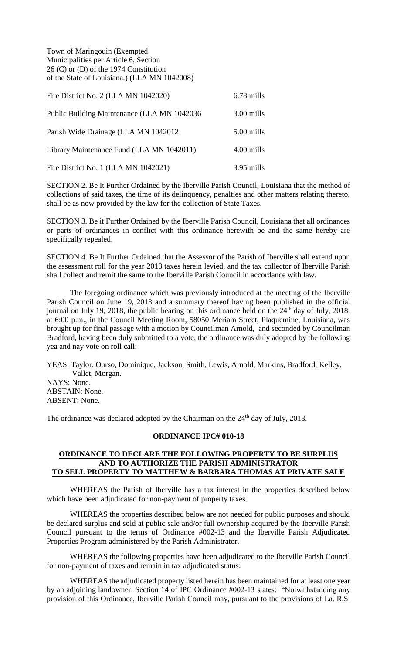Town of Maringouin (Exempted Municipalities per Article 6, Section 26 (C) or (D) of the 1974 Constitution of the State of Louisiana.) (LLA MN 1042008)

| Fire District No. 2 (LLA MN 1042020)         | 6.78 mills |
|----------------------------------------------|------------|
| Public Building Maintenance (LLA MN 1042036) | 3.00 mills |
| Parish Wide Drainage (LLA MN 1042012)        | 5.00 mills |
| Library Maintenance Fund (LLA MN 1042011)    | 4.00 mills |
| Fire District No. 1 (LLA MN 1042021)         | 3.95 mills |

SECTION 2. Be It Further Ordained by the Iberville Parish Council, Louisiana that the method of collections of said taxes, the time of its delinquency, penalties and other matters relating thereto, shall be as now provided by the law for the collection of State Taxes.

SECTION 3. Be it Further Ordained by the Iberville Parish Council, Louisiana that all ordinances or parts of ordinances in conflict with this ordinance herewith be and the same hereby are specifically repealed.

SECTION 4. Be It Further Ordained that the Assessor of the Parish of Iberville shall extend upon the assessment roll for the year 2018 taxes herein levied, and the tax collector of Iberville Parish shall collect and remit the same to the Iberville Parish Council in accordance with law.

The foregoing ordinance which was previously introduced at the meeting of the Iberville Parish Council on June 19, 2018 and a summary thereof having been published in the official journal on July 19, 2018, the public hearing on this ordinance held on the  $24<sup>th</sup>$  day of July, 2018, at 6:00 p.m., in the Council Meeting Room, 58050 Meriam Street, Plaquemine, Louisiana, was brought up for final passage with a motion by Councilman Arnold, and seconded by Councilman Bradford, having been duly submitted to a vote, the ordinance was duly adopted by the following yea and nay vote on roll call:

YEAS: Taylor, Ourso, Dominique, Jackson, Smith, Lewis, Arnold, Markins, Bradford, Kelley, Vallet, Morgan. NAYS: None. ABSTAIN: None. ABSENT: None.

The ordinance was declared adopted by the Chairman on the  $24<sup>th</sup>$  day of July, 2018.

#### **ORDINANCE IPC# 010-18**

#### **ORDINANCE TO DECLARE THE FOLLOWING PROPERTY TO BE SURPLUS AND TO AUTHORIZE THE PARISH ADMINISTRATOR TO SELL PROPERTY TO MATTHEW & BARBARA THOMAS AT PRIVATE SALE**

WHEREAS the Parish of Iberville has a tax interest in the properties described below which have been adjudicated for non-payment of property taxes.

WHEREAS the properties described below are not needed for public purposes and should be declared surplus and sold at public sale and/or full ownership acquired by the Iberville Parish Council pursuant to the terms of Ordinance #002-13 and the Iberville Parish Adjudicated Properties Program administered by the Parish Administrator.

WHEREAS the following properties have been adjudicated to the Iberville Parish Council for non-payment of taxes and remain in tax adjudicated status:

WHEREAS the adjudicated property listed herein has been maintained for at least one year by an adjoining landowner. Section 14 of IPC Ordinance #002-13 states: "Notwithstanding any provision of this Ordinance, Iberville Parish Council may, pursuant to the provisions of La. R.S.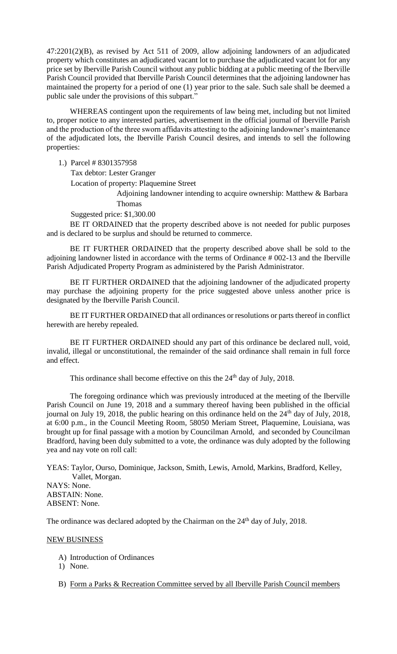47:2201(2)(B), as revised by Act 511 of 2009, allow adjoining landowners of an adjudicated property which constitutes an adjudicated vacant lot to purchase the adjudicated vacant lot for any price set by Iberville Parish Council without any public bidding at a public meeting of the Iberville Parish Council provided that Iberville Parish Council determines that the adjoining landowner has maintained the property for a period of one (1) year prior to the sale. Such sale shall be deemed a public sale under the provisions of this subpart."

WHEREAS contingent upon the requirements of law being met, including but not limited to, proper notice to any interested parties, advertisement in the official journal of Iberville Parish and the production of the three sworn affidavits attesting to the adjoining landowner's maintenance of the adjudicated lots, the Iberville Parish Council desires, and intends to sell the following properties:

1.) Parcel # 8301357958

Tax debtor: Lester Granger

Location of property: Plaquemine Street

Adjoining landowner intending to acquire ownership: Matthew & Barbara Thomas

Suggested price: \$1,300.00

BE IT ORDAINED that the property described above is not needed for public purposes and is declared to be surplus and should be returned to commerce.

BE IT FURTHER ORDAINED that the property described above shall be sold to the adjoining landowner listed in accordance with the terms of Ordinance # 002-13 and the Iberville Parish Adjudicated Property Program as administered by the Parish Administrator.

BE IT FURTHER ORDAINED that the adjoining landowner of the adjudicated property may purchase the adjoining property for the price suggested above unless another price is designated by the Iberville Parish Council.

BE IT FURTHER ORDAINED that all ordinances or resolutions or parts thereof in conflict herewith are hereby repealed.

BE IT FURTHER ORDAINED should any part of this ordinance be declared null, void, invalid, illegal or unconstitutional, the remainder of the said ordinance shall remain in full force and effect.

This ordinance shall become effective on this the 24<sup>th</sup> day of July, 2018.

The foregoing ordinance which was previously introduced at the meeting of the Iberville Parish Council on June 19, 2018 and a summary thereof having been published in the official journal on July 19, 2018, the public hearing on this ordinance held on the  $24<sup>th</sup>$  day of July, 2018, at 6:00 p.m., in the Council Meeting Room, 58050 Meriam Street, Plaquemine, Louisiana, was brought up for final passage with a motion by Councilman Arnold, and seconded by Councilman Bradford, having been duly submitted to a vote, the ordinance was duly adopted by the following yea and nay vote on roll call:

YEAS: Taylor, Ourso, Dominique, Jackson, Smith, Lewis, Arnold, Markins, Bradford, Kelley, Vallet, Morgan. NAYS: None. ABSTAIN: None.

ABSENT: None.

The ordinance was declared adopted by the Chairman on the  $24<sup>th</sup>$  day of July, 2018.

### NEW BUSINESS

- A) Introduction of Ordinances
- 1) None.
- B) Form a Parks & Recreation Committee served by all Iberville Parish Council members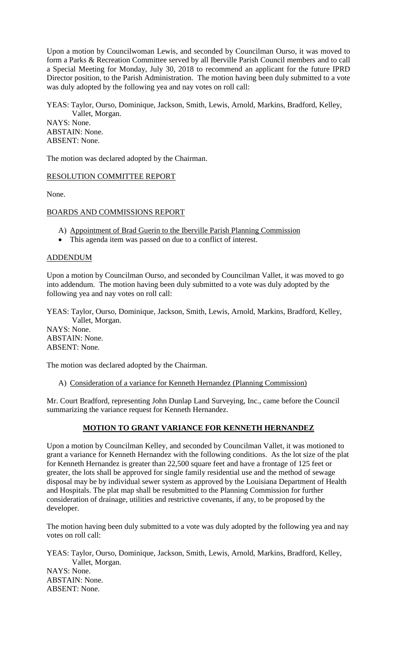Upon a motion by Councilwoman Lewis, and seconded by Councilman Ourso, it was moved to form a Parks & Recreation Committee served by all Iberville Parish Council members and to call a Special Meeting for Monday, July 30, 2018 to recommend an applicant for the future IPRD Director position, to the Parish Administration. The motion having been duly submitted to a vote was duly adopted by the following yea and nay votes on roll call:

YEAS: Taylor, Ourso, Dominique, Jackson, Smith, Lewis, Arnold, Markins, Bradford, Kelley, Vallet, Morgan.

NAYS: None. ABSTAIN: None. ABSENT: None.

The motion was declared adopted by the Chairman.

RESOLUTION COMMITTEE REPORT

None.

#### BOARDS AND COMMISSIONS REPORT

- A) Appointment of Brad Guerin to the Iberville Parish Planning Commission
- This agenda item was passed on due to a conflict of interest.

#### ADDENDUM

Upon a motion by Councilman Ourso, and seconded by Councilman Vallet, it was moved to go into addendum. The motion having been duly submitted to a vote was duly adopted by the following yea and nay votes on roll call:

YEAS: Taylor, Ourso, Dominique, Jackson, Smith, Lewis, Arnold, Markins, Bradford, Kelley, Vallet, Morgan.

NAYS: None. ABSTAIN: None. ABSENT: None.

The motion was declared adopted by the Chairman.

A) Consideration of a variance for Kenneth Hernandez (Planning Commission)

Mr. Court Bradford, representing John Dunlap Land Surveying, Inc., came before the Council summarizing the variance request for Kenneth Hernandez.

### **MOTION TO GRANT VARIANCE FOR KENNETH HERNANDEZ**

Upon a motion by Councilman Kelley, and seconded by Councilman Vallet, it was motioned to grant a variance for Kenneth Hernandez with the following conditions. As the lot size of the plat for Kenneth Hernandez is greater than 22,500 square feet and have a frontage of 125 feet or greater, the lots shall be approved for single family residential use and the method of sewage disposal may be by individual sewer system as approved by the Louisiana Department of Health and Hospitals. The plat map shall be resubmitted to the Planning Commission for further consideration of drainage, utilities and restrictive covenants, if any, to be proposed by the developer.

The motion having been duly submitted to a vote was duly adopted by the following yea and nay votes on roll call:

YEAS: Taylor, Ourso, Dominique, Jackson, Smith, Lewis, Arnold, Markins, Bradford, Kelley, Vallet, Morgan. NAYS: None. ABSTAIN: None. ABSENT: None.